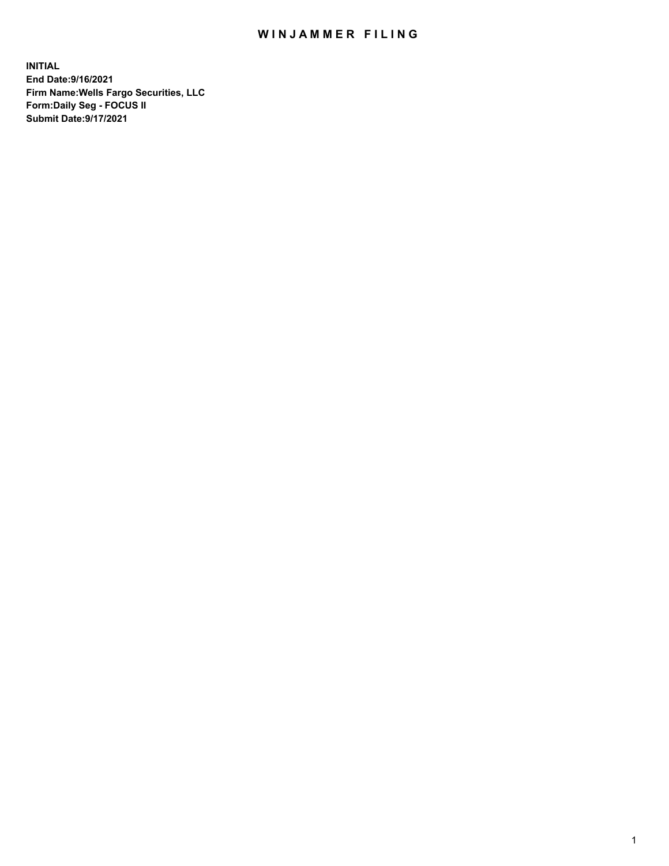## WIN JAMMER FILING

**INITIAL End Date:9/16/2021 Firm Name:Wells Fargo Securities, LLC Form:Daily Seg - FOCUS II Submit Date:9/17/2021**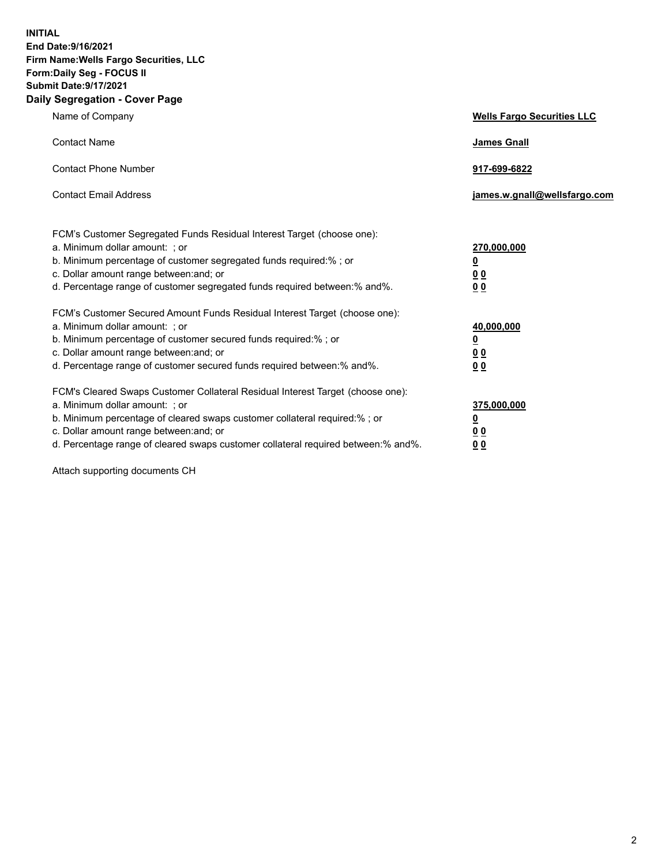**INITIAL End Date:9/16/2021 Firm Name:Wells Fargo Securities, LLC Form:Daily Seg - FOCUS II Submit Date:9/17/2021 Daily Segregation - Cover Page**

| Name of Company                                                                                                                                                                                                                                                                                                                | <b>Wells Fargo Securities LLC</b>                          |
|--------------------------------------------------------------------------------------------------------------------------------------------------------------------------------------------------------------------------------------------------------------------------------------------------------------------------------|------------------------------------------------------------|
| <b>Contact Name</b>                                                                                                                                                                                                                                                                                                            | <b>James Gnall</b>                                         |
| <b>Contact Phone Number</b>                                                                                                                                                                                                                                                                                                    | 917-699-6822                                               |
| <b>Contact Email Address</b>                                                                                                                                                                                                                                                                                                   | james.w.gnall@wellsfargo.com                               |
| FCM's Customer Segregated Funds Residual Interest Target (choose one):<br>a. Minimum dollar amount: ; or<br>b. Minimum percentage of customer segregated funds required:% ; or<br>c. Dollar amount range between: and; or<br>d. Percentage range of customer segregated funds required between: % and %.                       | 270,000,000<br><u>0</u><br><u>00</u><br>0 <sub>0</sub>     |
| FCM's Customer Secured Amount Funds Residual Interest Target (choose one):<br>a. Minimum dollar amount: ; or<br>b. Minimum percentage of customer secured funds required:% ; or<br>c. Dollar amount range between: and; or<br>d. Percentage range of customer secured funds required between: % and %.                         | 40,000,000<br><u>0</u><br>0 <sub>0</sub><br>0 <sub>0</sub> |
| FCM's Cleared Swaps Customer Collateral Residual Interest Target (choose one):<br>a. Minimum dollar amount: ; or<br>b. Minimum percentage of cleared swaps customer collateral required:% ; or<br>c. Dollar amount range between: and; or<br>d. Percentage range of cleared swaps customer collateral required between:% and%. | 375,000,000<br><u>0</u><br>00<br><u>00</u>                 |

Attach supporting documents CH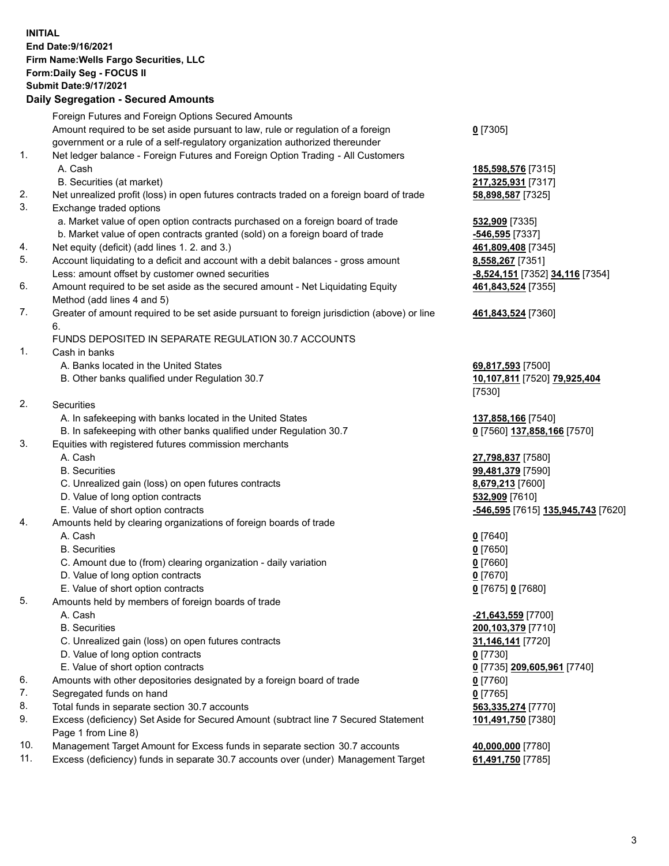**INITIAL End Date:9/16/2021 Firm Name:Wells Fargo Securities, LLC Form:Daily Seg - FOCUS II Submit Date:9/17/2021**

## **Daily Segregation - Secured Amounts**

|                | Foreign Futures and Foreign Options Secured Amounts                                                          |                                    |
|----------------|--------------------------------------------------------------------------------------------------------------|------------------------------------|
|                | Amount required to be set aside pursuant to law, rule or regulation of a foreign                             | $0$ [7305]                         |
|                | government or a rule of a self-regulatory organization authorized thereunder                                 |                                    |
| 1.             | Net ledger balance - Foreign Futures and Foreign Option Trading - All Customers                              |                                    |
|                | A. Cash                                                                                                      | 185,598,576 [7315]                 |
|                | B. Securities (at market)                                                                                    | 217,325,931 [7317]                 |
| 2.             | Net unrealized profit (loss) in open futures contracts traded on a foreign board of trade                    | 58,898,587 [7325]                  |
| 3.             | Exchange traded options                                                                                      |                                    |
|                | a. Market value of open option contracts purchased on a foreign board of trade                               |                                    |
|                |                                                                                                              | 532,909 [7335]                     |
|                | b. Market value of open contracts granted (sold) on a foreign board of trade                                 | -546,595 [7337]                    |
| 4.             | Net equity (deficit) (add lines 1. 2. and 3.)                                                                | 461,809,408 [7345]                 |
| 5.             | Account liquidating to a deficit and account with a debit balances - gross amount                            | 8,558,267 [7351]                   |
|                | Less: amount offset by customer owned securities                                                             | -8,524,151 [7352] 34,116 [7354]    |
| 6.             | Amount required to be set aside as the secured amount - Net Liquidating Equity<br>Method (add lines 4 and 5) | 461,843,524 [7355]                 |
| 7.             | Greater of amount required to be set aside pursuant to foreign jurisdiction (above) or line                  | 461,843,524 [7360]                 |
|                | 6.                                                                                                           |                                    |
|                | FUNDS DEPOSITED IN SEPARATE REGULATION 30.7 ACCOUNTS                                                         |                                    |
| 1.             | Cash in banks                                                                                                |                                    |
|                | A. Banks located in the United States                                                                        | 69,817,593 [7500]                  |
|                | B. Other banks qualified under Regulation 30.7                                                               | 10,107,811 [7520] 79,925,404       |
|                |                                                                                                              | [7530]                             |
| 2.             | <b>Securities</b>                                                                                            |                                    |
|                | A. In safekeeping with banks located in the United States                                                    | 137,858,166 [7540]                 |
|                | B. In safekeeping with other banks qualified under Regulation 30.7                                           | 0 [7560] 137,858,166 [7570]        |
| 3.             | Equities with registered futures commission merchants                                                        |                                    |
|                | A. Cash                                                                                                      | 27,798,837 [7580]                  |
|                | <b>B.</b> Securities                                                                                         | 99,481,379 [7590]                  |
|                | C. Unrealized gain (loss) on open futures contracts                                                          | 8,679,213 [7600]                   |
|                | D. Value of long option contracts                                                                            | 532,909 [7610]                     |
|                | E. Value of short option contracts                                                                           | -546,595 [7615] 135,945,743 [7620] |
| 4.             | Amounts held by clearing organizations of foreign boards of trade                                            |                                    |
|                | A. Cash                                                                                                      | $0$ [7640]                         |
|                | <b>B.</b> Securities                                                                                         | $0$ [7650]                         |
|                |                                                                                                              |                                    |
|                | C. Amount due to (from) clearing organization - daily variation<br>D. Value of long option contracts         | $0$ [7660]                         |
|                |                                                                                                              | $0$ [7670]                         |
|                | E. Value of short option contracts                                                                           | 0 [7675] 0 [7680]                  |
| 5.             | Amounts held by members of foreign boards of trade                                                           |                                    |
|                | A. Cash                                                                                                      | -21,643,559 [7700]                 |
|                | <b>B.</b> Securities                                                                                         | 200,103,379 [7710]                 |
|                | C. Unrealized gain (loss) on open futures contracts                                                          | 31,146,141 [7720]                  |
|                | D. Value of long option contracts                                                                            | $0$ [7730]                         |
|                | E. Value of short option contracts                                                                           | 0 [7735] 209,605,961 [7740]        |
| 6.             | Amounts with other depositories designated by a foreign board of trade                                       | $0$ [7760]                         |
| 7.             | Segregated funds on hand                                                                                     | $0$ [7765]                         |
| 8.             | Total funds in separate section 30.7 accounts                                                                | 563,335,274 [7770]                 |
| 9.             | Excess (deficiency) Set Aside for Secured Amount (subtract line 7 Secured Statement                          | 101,491,750 [7380]                 |
|                | Page 1 from Line 8)                                                                                          |                                    |
| $\overline{A}$ |                                                                                                              | $AA$ $AA$ $T77001$                 |

- 10. Management Target Amount for Excess funds in separate section 30.7 accounts **40,000,000** [7780]
- 11. Excess (deficiency) funds in separate 30.7 accounts over (under) Management Target **61,491,750** [7785]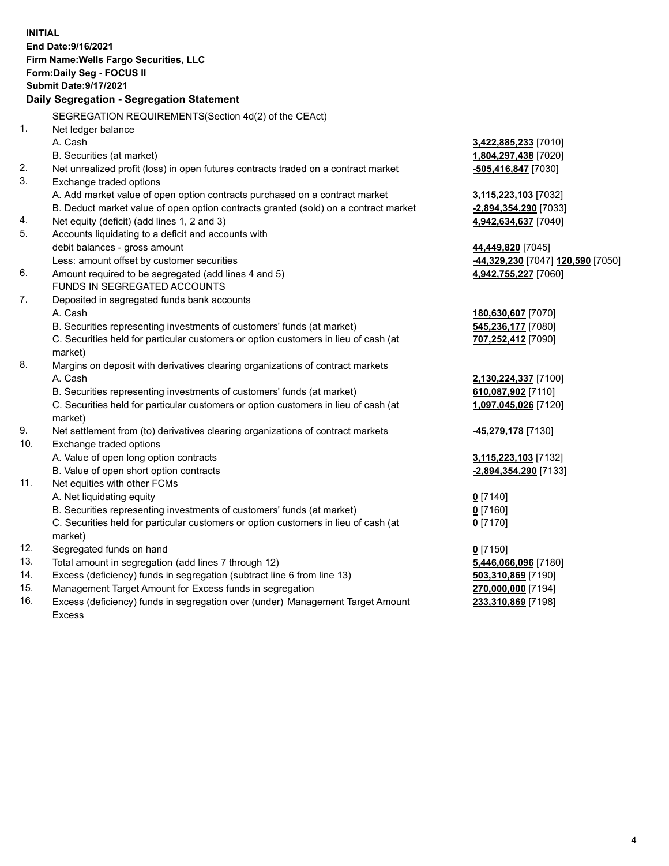**INITIAL End Date:9/16/2021 Firm Name:Wells Fargo Securities, LLC Form:Daily Seg - FOCUS II Submit Date:9/17/2021 Daily Segregation - Segregation Statement** SEGREGATION REQUIREMENTS(Section 4d(2) of the CEAct) 1. Net ledger balance A. Cash **3,422,885,233** [7010] B. Securities (at market) **1,804,297,438** [7020] 2. Net unrealized profit (loss) in open futures contracts traded on a contract market **-505,416,847** [7030] 3. Exchange traded options A. Add market value of open option contracts purchased on a contract market **3,115,223,103** [7032] B. Deduct market value of open option contracts granted (sold) on a contract market **-2,894,354,290** [7033] 4. Net equity (deficit) (add lines 1, 2 and 3) **4,942,634,637** [7040] 5. Accounts liquidating to a deficit and accounts with debit balances - gross amount **44,449,820** [7045] Less: amount offset by customer securities **-44,329,230** [7047] **120,590** [7050] 6. Amount required to be segregated (add lines 4 and 5) **4,942,755,227** [7060] FUNDS IN SEGREGATED ACCOUNTS 7. Deposited in segregated funds bank accounts A. Cash **180,630,607** [7070] B. Securities representing investments of customers' funds (at market) **545,236,177** [7080] C. Securities held for particular customers or option customers in lieu of cash (at market) **707,252,412** [7090] 8. Margins on deposit with derivatives clearing organizations of contract markets A. Cash **2,130,224,337** [7100] B. Securities representing investments of customers' funds (at market) **610,087,902** [7110] C. Securities held for particular customers or option customers in lieu of cash (at market) **1,097,045,026** [7120] 9. Net settlement from (to) derivatives clearing organizations of contract markets **-45,279,178** [7130] 10. Exchange traded options A. Value of open long option contracts **3,115,223,103** [7132] B. Value of open short option contracts **-2,894,354,290** [7133] 11. Net equities with other FCMs A. Net liquidating equity **0** [7140] B. Securities representing investments of customers' funds (at market) **0** [7160] C. Securities held for particular customers or option customers in lieu of cash (at market) **0** [7170] 12. Segregated funds on hand **0** [7150] 13. Total amount in segregation (add lines 7 through 12) **5,446,066,096** [7180] 14. Excess (deficiency) funds in segregation (subtract line 6 from line 13) **503,310,869** [7190] 15. Management Target Amount for Excess funds in segregation **270,000,000** [7194]

16. Excess (deficiency) funds in segregation over (under) Management Target Amount Excess

**233,310,869** [7198]